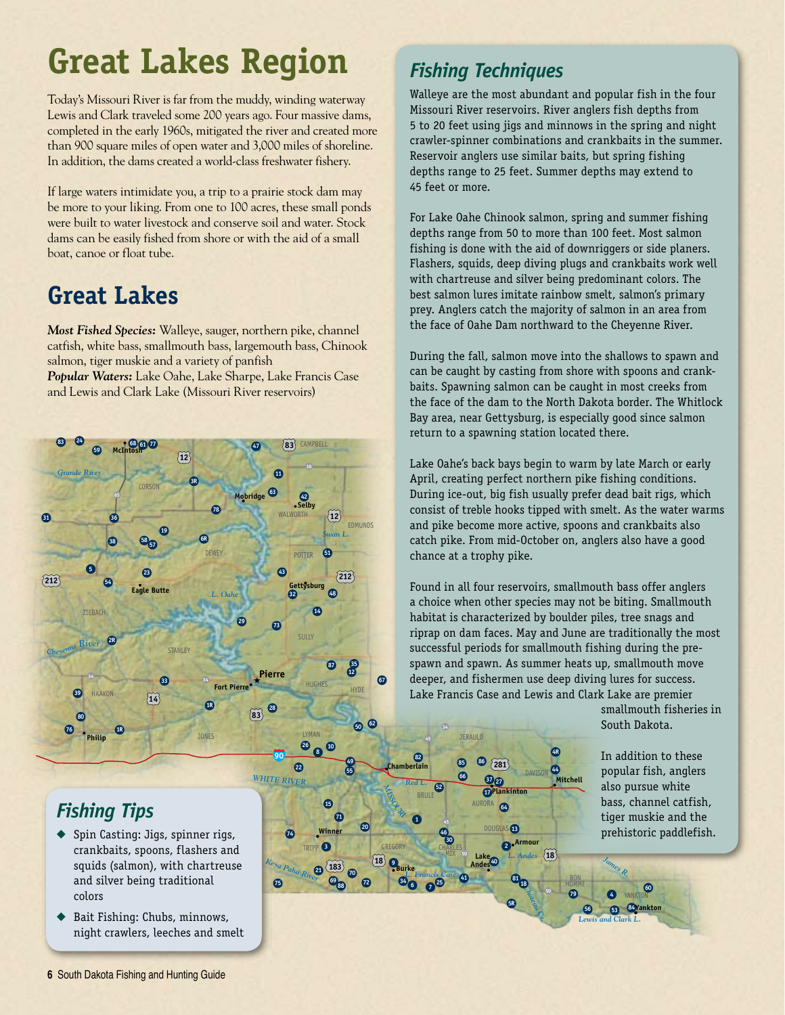# **Great Lakes Region**

Today's Missouri River is far from the muddy, winding waterway Lewis and Clark traveled some 200 years ago. Four massive dams, completed in the early 1960s, mitigated the river and created more than 900 square miles of open water and 3,000 miles of shoreline. In addition, the dams created a world-class freshwater fishery.

If large waters intimidate you, a trip to a prairie stock dam may be more to your liking. From one to 100 acres, these small ponds were built to water livestock and conserve soil and water. Stock dams can be easily fished from shore or with the aid of a small boat, canoe or float tube.

## **Great Lakes**

*Most Fished Species:* Walleye, sauger, northern pike, channel catfish, white bass, smallmouth bass, largemouth bass, Chinook salmon, tiger muskie and a variety of panfish *Popular Waters:* Lake Oahe, Lake Sharpe, Lake Francis Case and Lewis and Clark Lake (Missouri River reservoirs)



### *Fishing Tips*

- ◆ Spin Casting: Jigs, spinner rigs, crankbaits, spoons, flashers and squids (salmon), with chartreuse and silver being traditional colors
- Bait Fishing: Chubs, minnows, night crawlers, leeches and smelt

#### *Fishing Techniques*

Walleye are the most abundant and popular fish in the four Missouri River reservoirs. River anglers fish depths from 5 to 20 feet using jigs and minnows in the spring and night crawler-spinner combinations and crankbaits in the summer. Reservoir anglers use similar baits, but spring fishing depths range to 25 feet. Summer depths may extend to 45 feet or more.

For Lake Oahe Chinook salmon, spring and summer fishing depths range from 50 to more than 100 feet. Most salmon fishing is done with the aid of downriggers or side planers. Flashers, squids, deep diving plugs and crankbaits work well with chartreuse and silver being predominant colors. The best salmon lures imitate rainbow smelt, salmon's primary prey. Anglers catch the majority of salmon in an area from the face of Oahe Dam northward to the Cheyenne River.

During the fall, salmon move into the shallows to spawn and can be caught by casting from shore with spoons and crankbaits. Spawning salmon can be caught in most creeks from the face of the dam to the North Dakota border. The Whitlock Bay area, near Gettysburg, is especially good since salmon return to a spawning station located there.

Lake Oahe's back bays begin to warm by late March or early April, creating perfect northern pike fishing conditions. During ice-out, big fish usually prefer dead bait rigs, which consist of treble hooks tipped with smelt. As the water warms and pike become more active, spoons and crankbaits also catch pike. From mid-October on, anglers also have a good chance at a trophy pike.

Found in all four reservoirs, smallmouth bass offer anglers a choice when other species may not be biting. Smallmouth habitat is characterized by boulder piles, tree snags and riprap on dam faces. May and June are traditionally the most successful periods for smallmouth fishing during the prespawn and spawn. As summer heats up, smallmouth move deeper, and fishermen use deep diving lures for success. Lake Francis Case and Lewis and Clark Lake are premier

> **44 4R**

> > **Mitchell**

*Choteau Cr.* 

**<sup>81</sup> <sup>18</sup> 5R**

**2 Armour**

*L. Andes*

**18 9**<br>**18 9**<br>**18**<br>**Eurke**<br>**Andes**<br>**Andes**<br>**18**<br>**Andes**<br>**18**<br>**Andes** 

**66**

**52**

**34 45**

*Red L.*

**1**

BRULE

**46 30**

CHARLES MIX

**<sup>34</sup> <sup>6</sup> <sup>7</sup> <sup>25</sup> <sup>41</sup>** *L. Francis Case*

**183 70 21** *Keya Paha River*

**3** TRIPP

**74**

**75**

**13 71**

**Winner**

**<sup>88</sup> <sup>69</sup>**

**72**

**20**

GREGORY

**281 85 86**

 $\circledR$ **17 Plankinton**

**64** AURORA

**40**

**Lake Andes**

**13** DOUGLAS

smallmouth fisheries in South Dakota.

In addition to these popular fish, anglers also pursue white bass, channel catfish, tiger muskie and the prehistoric paddlefish.

**60**

YANKTON

*James R.*

**84 56 53 Yankton**

*Lewis and Clark L.*

**79 4**

**6** South Dakota Fishing and Hunting Guide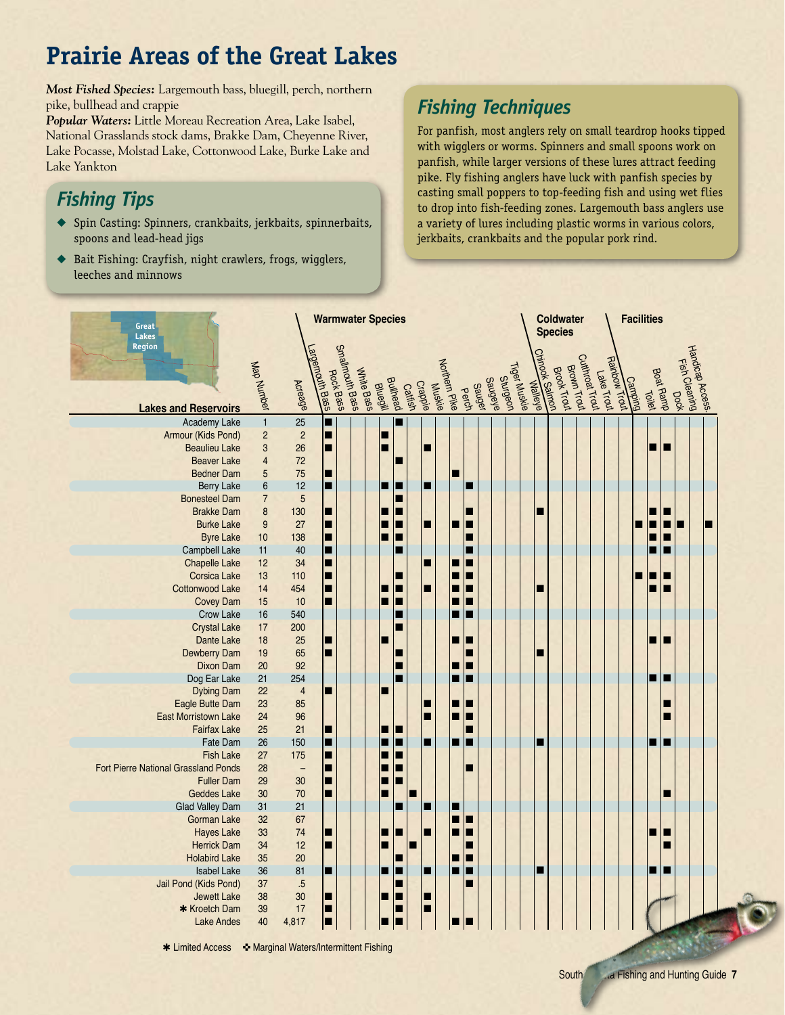## **Prairie Areas of the Great Lakes**

*Most Fished Species:* Largemouth bass, bluegill, perch, northern pike, bullhead and crappie

*Popular Waters:* Little Moreau Recreation Area, Lake Isabel, National Grasslands stock dams, Brakke Dam, Cheyenne River, Lake Pocasse, Molstad Lake, Cottonwood Lake, Burke Lake and Lake Yankton

### *Fishing Tips*

- ◆ Spin Casting: Spinners, crankbaits, jerkbaits, spinnerbaits, spoons and lead-head jigs
- ◆ Bait Fishing: Crayfish, night crawlers, frogs, wigglers, leeches and minnows

#### *Fishing Techniques*

For panfish, most anglers rely on small teardrop hooks tipped with wigglers or worms. Spinners and small spoons work on panfish, while larger versions of these lures attract feeding pike. Fly fishing anglers have luck with panfish species by casting small poppers to top-feeding fish and using wet flies to drop into fish-feeding zones. Largemouth bass anglers use a variety of lures including plastic worms in various colors, jerkbaits, crankbaits and the popular pork rind.

| Great                                                     |                         |                                | <b>Warmwater Species</b> |                              |            |                 |          |                |                   |               |       |        |                |                 |              |                                           | <b>Coldwater</b><br><b>Species</b> |             |                 |            |         | <b>Facilities</b> |           |        |   |                 |  |
|-----------------------------------------------------------|-------------------------|--------------------------------|--------------------------|------------------------------|------------|-----------------|----------|----------------|-------------------|---------------|-------|--------|----------------|-----------------|--------------|-------------------------------------------|------------------------------------|-------------|-----------------|------------|---------|-------------------|-----------|--------|---|-----------------|--|
| Lakes<br><b>Region</b><br><b>Lakes and Reservoirs</b>     | Map Number              | Acreage                        | Largemouth Bass          | Smallmouth Bass<br>Rock Bass | Write Bass | <b>Bluegill</b> | Bullhead | <b>Cattish</b> | Muskie<br>Crappie | Northern Pike | Perch | Sauger | <b>Saugele</b> | <b>Sturgeon</b> | Tiger Muskie | <b>THINDOW Salmon I</b><br><b>Walleye</b> | Brook Trout                        | Brown Trout | Cutthroat Trout | Lake Trout | Camping |                   | Boat Ramp |        |   | Hardicap Access |  |
| Academy Lake                                              | $\overline{1}$          | 25                             | ■                        |                              |            |                 |          |                |                   |               |       |        |                |                 |              |                                           |                                    |             |                 |            |         |                   |           |        |   |                 |  |
| Armour (Kids Pond)                                        | $\overline{c}$          | $\overline{c}$                 | П                        |                              |            | ■               |          |                |                   |               |       |        |                |                 |              |                                           |                                    |             |                 |            |         |                   |           |        |   |                 |  |
| <b>Beaulieu Lake</b>                                      | 3                       | 26                             | П                        |                              |            |                 |          |                | п                 |               |       |        |                |                 |              |                                           |                                    |             |                 |            |         |                   | п         |        |   |                 |  |
| <b>Beaver Lake</b>                                        | $\overline{\mathbf{4}}$ | 72                             |                          |                              |            |                 | ■        |                |                   |               |       |        |                |                 |              |                                           |                                    |             |                 |            |         |                   |           |        |   |                 |  |
| <b>Bedner Dam</b>                                         | 5                       | 75                             | П                        |                              |            |                 |          |                |                   |               |       |        |                |                 |              |                                           |                                    |             |                 |            |         |                   |           |        |   |                 |  |
| <b>Berry Lake</b>                                         | $\boldsymbol{6}$        | 12                             | п                        |                              |            | ■               | E        |                | ■                 |               |       | П      |                |                 |              |                                           |                                    |             |                 |            |         |                   |           |        |   |                 |  |
| <b>Bonesteel Dam</b>                                      | $\overline{7}$          | $\overline{5}$                 |                          |                              |            |                 |          |                |                   |               |       |        |                |                 |              |                                           |                                    |             |                 |            |         |                   |           |        |   |                 |  |
| <b>Brakke Dam</b><br><b>Burke Lake</b>                    | 8<br>9                  | 130<br>27                      | П<br>П                   |                              |            |                 | п<br>■   |                | ■                 |               | п     | ■<br>п |                |                 |              | г                                         |                                    |             |                 |            |         |                   | ■         | ш<br>П | п |                 |  |
| <b>Byre Lake</b>                                          | 10                      | 138                            | П                        |                              |            |                 | п        |                |                   |               |       | ■      |                |                 |              |                                           |                                    |             |                 |            |         |                   | ■         | ш      |   |                 |  |
| <b>Campbell Lake</b>                                      | 11                      | 40                             | П                        |                              |            |                 |          |                |                   |               |       | ■      |                |                 |              |                                           |                                    |             |                 |            |         |                   |           |        |   |                 |  |
| <b>Chapelle Lake</b>                                      | 12                      | 34                             | П                        |                              |            |                 |          |                | ■                 |               | П     | П      |                |                 |              |                                           |                                    |             |                 |            |         |                   |           |        |   |                 |  |
| <b>Corsica Lake</b>                                       | 13                      | 110                            | П                        |                              |            |                 |          |                |                   |               | П     | П      |                |                 |              |                                           |                                    |             |                 |            |         |                   | п         | ■      |   |                 |  |
| Cottonwood Lake                                           | 14                      | 454                            | П                        |                              |            |                 | г        |                | ■                 |               | ■     | П      |                |                 |              | Ш                                         |                                    |             |                 |            |         |                   |           |        |   |                 |  |
| <b>Covey Dam</b>                                          | 15                      | 10                             | П                        |                              |            |                 | г        |                |                   |               | п     | П      |                |                 |              |                                           |                                    |             |                 |            |         |                   |           |        |   |                 |  |
| Crow Lake                                                 | 16                      | 540                            |                          |                              |            |                 | ■        |                |                   |               | п     | п      |                |                 |              |                                           |                                    |             |                 |            |         |                   |           |        |   |                 |  |
| <b>Crystal Lake</b>                                       | 17                      | 200                            |                          |                              |            |                 |          |                |                   |               |       |        |                |                 |              |                                           |                                    |             |                 |            |         |                   |           |        |   |                 |  |
| Dante Lake                                                | 18                      | 25                             | П                        |                              |            |                 |          |                |                   |               | ■     | In     |                |                 |              |                                           |                                    |             |                 |            |         |                   | ■         |        |   |                 |  |
| <b>Dewberry Dam</b>                                       | 19                      | 65                             | П                        |                              |            |                 |          |                |                   |               |       | П      |                |                 |              |                                           |                                    |             |                 |            |         |                   |           |        |   |                 |  |
| <b>Dixon Dam</b>                                          | 20                      | 92                             |                          |                              |            |                 | г        |                |                   |               | ■     | п      |                |                 |              |                                           |                                    |             |                 |            |         |                   |           |        |   |                 |  |
| Dog Ear Lake                                              | 21                      | 254                            |                          |                              |            |                 |          |                |                   |               | ■     | E      |                |                 |              |                                           |                                    |             |                 |            |         |                   | ■         | ш      |   |                 |  |
| <b>Dybing Dam</b>                                         | 22                      | $\overline{4}$                 | п                        |                              |            | ■               |          |                |                   |               |       |        |                |                 |              |                                           |                                    |             |                 |            |         |                   |           |        |   |                 |  |
| Eagle Butte Dam                                           | 23                      | 85                             |                          |                              |            |                 |          |                |                   |               |       | IE     |                |                 |              |                                           |                                    |             |                 |            |         |                   |           | ■      |   |                 |  |
| <b>East Morristown Lake</b>                               | 24                      | 96                             |                          |                              |            |                 |          |                | ■                 |               | ■     | П      |                |                 |              |                                           |                                    |             |                 |            |         |                   |           |        |   |                 |  |
| <b>Fairfax Lake</b>                                       | 25                      | 21                             | П                        |                              |            | ٠               | ш        |                |                   |               |       | П      |                |                 |              |                                           |                                    |             |                 |            |         |                   |           |        |   |                 |  |
| Fate Dam                                                  | 26                      | 150                            | П                        |                              |            |                 | ■        |                | ■                 |               | ■     | п      |                |                 |              |                                           |                                    |             |                 |            |         |                   | ■         |        |   |                 |  |
| <b>Fish Lake</b>                                          | 27                      | 175                            | П                        |                              |            |                 | ■        |                |                   |               |       |        |                |                 |              |                                           |                                    |             |                 |            |         |                   |           |        |   |                 |  |
| Fort Pierre National Grassland Ponds<br><b>Fuller Dam</b> | 28<br>29                | $\overline{\phantom{0}}$<br>30 | п<br>П                   |                              |            |                 | ■        |                |                   |               |       | П      |                |                 |              |                                           |                                    |             |                 |            |         |                   |           |        |   |                 |  |
| <b>Geddes Lake</b>                                        | 30                      | 70                             | п                        |                              |            |                 |          |                |                   |               |       |        |                |                 |              |                                           |                                    |             |                 |            |         |                   |           |        |   |                 |  |
| <b>Glad Valley Dam</b>                                    | 31                      | 21                             |                          |                              |            |                 |          |                |                   |               | П     |        |                |                 |              |                                           |                                    |             |                 |            |         |                   |           |        |   |                 |  |
| <b>Gorman Lake</b>                                        | 32                      | 67                             |                          |                              |            |                 |          |                |                   |               | ■     | п      |                |                 |              |                                           |                                    |             |                 |            |         |                   |           |        |   |                 |  |
| <b>Hayes Lake</b>                                         | 33                      | 74                             | П                        |                              |            |                 |          |                | ■                 |               | ■     | п      |                |                 |              |                                           |                                    |             |                 |            |         |                   | П         | п      |   |                 |  |
| <b>Herrick Dam</b>                                        | 34                      | 12                             | п                        |                              |            |                 |          |                |                   |               |       | П      |                |                 |              |                                           |                                    |             |                 |            |         |                   |           | ▛      |   |                 |  |
| <b>Holabird Lake</b>                                      | 35                      | 20                             |                          |                              |            |                 |          |                |                   |               | ■     | п      |                |                 |              |                                           |                                    |             |                 |            |         |                   |           |        |   |                 |  |
| <b>Isabel Lake</b>                                        | 36                      | 81                             | П                        |                              |            |                 | г        |                |                   |               | ■     | п      |                |                 |              |                                           |                                    |             |                 |            |         |                   | ■         |        |   |                 |  |
| Jail Pond (Kids Pond)                                     | 37                      | .5                             |                          |                              |            |                 |          |                |                   |               |       |        |                |                 |              |                                           |                                    |             |                 |            |         |                   |           |        |   |                 |  |
| <b>Jewett Lake</b>                                        | 38                      | 30                             | п                        |                              |            | ▄               | г        |                | ■                 |               |       |        |                |                 |              |                                           |                                    |             |                 |            |         |                   |           |        |   |                 |  |
| * Kroetch Dam                                             | 39                      | 17                             | П                        |                              |            |                 |          |                | п                 |               |       |        |                |                 |              |                                           |                                    |             |                 |            |         |                   |           |        |   |                 |  |
| <b>Lake Andes</b>                                         | 40                      | 4,817                          | О                        |                              |            |                 | п        |                |                   |               |       |        |                |                 |              |                                           |                                    |             |                 |            |         |                   |           |        |   |                 |  |